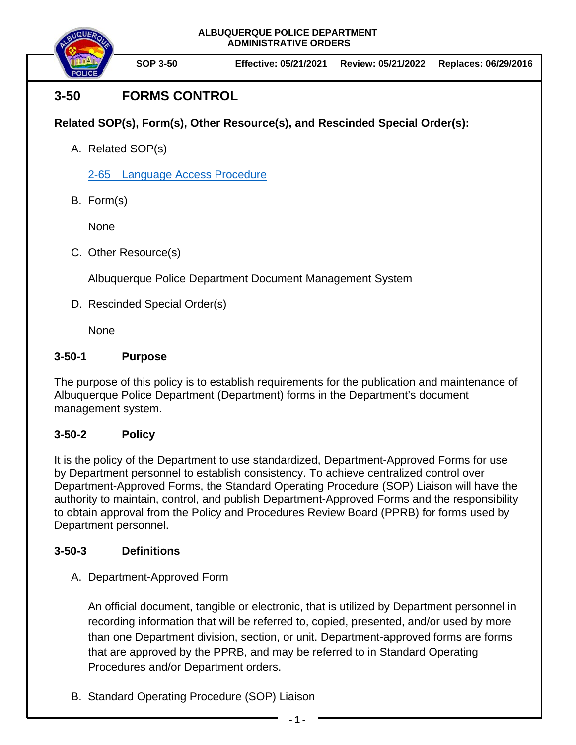**ALBUQUERQUE POLICE DEPARTMENT ADMINISTRATIVE ORDERS**



## **3-50 FORMS CONTROL**

**Related SOP(s), Form(s), Other Resource(s), and Rescinded Special Order(s):**

A. Related SOP(s)

[2-65 Language Access Procedure](https://powerdms.com/docs/2205649)

B. Form(s)

None

C. Other Resource(s)

Albuquerque Police Department Document Management System

D. Rescinded Special Order(s)

None

## **3-50-1 Purpose**

The purpose of this policy is to establish requirements for the publication and maintenance of Albuquerque Police Department (Department) forms in the Department's document management system.

## **3-50-2 Policy**

It is the policy of the Department to use standardized, Department-Approved Forms for use by Department personnel to establish consistency. To achieve centralized control over Department-Approved Forms, the Standard Operating Procedure (SOP) Liaison will have the authority to maintain, control, and publish Department-Approved Forms and the responsibility to obtain approval from the Policy and Procedures Review Board (PPRB) for forms used by Department personnel.

## **3-50-3 Definitions**

A. Department-Approved Form

An official document, tangible or electronic, that is utilized by Department personnel in recording information that will be referred to, copied, presented, and/or used by more than one Department division, section, or unit. Department-approved forms are forms that are approved by the PPRB, and may be referred to in Standard Operating Procedures and/or Department orders.

B. Standard Operating Procedure (SOP) Liaison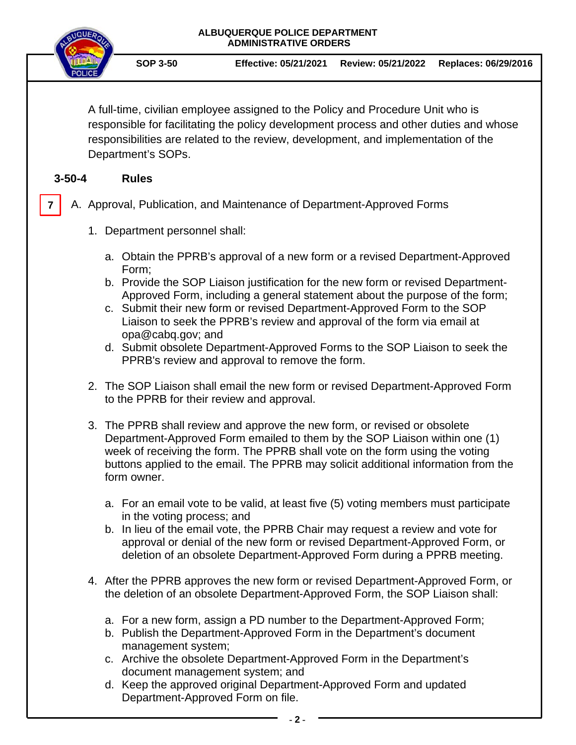| ALBUQUERQUE POLICE DEPARTMENT<br><b>ADMINISTRATIVE ORDERS</b>                                                                                                                                                                                                                                                                                                                                                                                                                                                                                                                                                                                                                                                                                                                                                                                                                                                                                                                                                                                                                                                                                |                       |                                                                                                                          |                                                                                                                                                                                                                                                                                                                                                                                                                                                                                                                                                                                                                                                                                                                                                                                                                                                                                                                                                                               |  |  |  |  |
|----------------------------------------------------------------------------------------------------------------------------------------------------------------------------------------------------------------------------------------------------------------------------------------------------------------------------------------------------------------------------------------------------------------------------------------------------------------------------------------------------------------------------------------------------------------------------------------------------------------------------------------------------------------------------------------------------------------------------------------------------------------------------------------------------------------------------------------------------------------------------------------------------------------------------------------------------------------------------------------------------------------------------------------------------------------------------------------------------------------------------------------------|-----------------------|--------------------------------------------------------------------------------------------------------------------------|-------------------------------------------------------------------------------------------------------------------------------------------------------------------------------------------------------------------------------------------------------------------------------------------------------------------------------------------------------------------------------------------------------------------------------------------------------------------------------------------------------------------------------------------------------------------------------------------------------------------------------------------------------------------------------------------------------------------------------------------------------------------------------------------------------------------------------------------------------------------------------------------------------------------------------------------------------------------------------|--|--|--|--|
| <b>SOP 3-50</b>                                                                                                                                                                                                                                                                                                                                                                                                                                                                                                                                                                                                                                                                                                                                                                                                                                                                                                                                                                                                                                                                                                                              | Effective: 05/21/2021 | Review: 05/21/2022                                                                                                       | Replaces: 06/29/2016                                                                                                                                                                                                                                                                                                                                                                                                                                                                                                                                                                                                                                                                                                                                                                                                                                                                                                                                                          |  |  |  |  |
| Department's SOPs.                                                                                                                                                                                                                                                                                                                                                                                                                                                                                                                                                                                                                                                                                                                                                                                                                                                                                                                                                                                                                                                                                                                           |                       |                                                                                                                          |                                                                                                                                                                                                                                                                                                                                                                                                                                                                                                                                                                                                                                                                                                                                                                                                                                                                                                                                                                               |  |  |  |  |
| <b>Rules</b>                                                                                                                                                                                                                                                                                                                                                                                                                                                                                                                                                                                                                                                                                                                                                                                                                                                                                                                                                                                                                                                                                                                                 |                       |                                                                                                                          |                                                                                                                                                                                                                                                                                                                                                                                                                                                                                                                                                                                                                                                                                                                                                                                                                                                                                                                                                                               |  |  |  |  |
| A. Approval, Publication, and Maintenance of Department-Approved Forms<br>7                                                                                                                                                                                                                                                                                                                                                                                                                                                                                                                                                                                                                                                                                                                                                                                                                                                                                                                                                                                                                                                                  |                       |                                                                                                                          |                                                                                                                                                                                                                                                                                                                                                                                                                                                                                                                                                                                                                                                                                                                                                                                                                                                                                                                                                                               |  |  |  |  |
| 1. Department personnel shall:                                                                                                                                                                                                                                                                                                                                                                                                                                                                                                                                                                                                                                                                                                                                                                                                                                                                                                                                                                                                                                                                                                               |                       |                                                                                                                          |                                                                                                                                                                                                                                                                                                                                                                                                                                                                                                                                                                                                                                                                                                                                                                                                                                                                                                                                                                               |  |  |  |  |
| a. Obtain the PPRB's approval of a new form or a revised Department-Approved<br>Form;<br>b. Provide the SOP Liaison justification for the new form or revised Department-<br>Approved Form, including a general statement about the purpose of the form;<br>c. Submit their new form or revised Department-Approved Form to the SOP<br>Liaison to seek the PPRB's review and approval of the form via email at<br>opa@cabq.gov; and<br>d. Submit obsolete Department-Approved Forms to the SOP Liaison to seek the<br>PPRB's review and approval to remove the form.<br>2. The SOP Liaison shall email the new form or revised Department-Approved Form<br>to the PPRB for their review and approval.<br>3. The PPRB shall review and approve the new form, or revised or obsolete<br>Department-Approved Form emailed to them by the SOP Liaison within one (1)<br>week of receiving the form. The PPRB shall vote on the form using the voting<br>buttons applied to the email. The PPRB may solicit additional information from the<br>form owner.<br>a. For an email vote to be valid, at least five (5) voting members must participate |                       |                                                                                                                          |                                                                                                                                                                                                                                                                                                                                                                                                                                                                                                                                                                                                                                                                                                                                                                                                                                                                                                                                                                               |  |  |  |  |
|                                                                                                                                                                                                                                                                                                                                                                                                                                                                                                                                                                                                                                                                                                                                                                                                                                                                                                                                                                                                                                                                                                                                              |                       |                                                                                                                          |                                                                                                                                                                                                                                                                                                                                                                                                                                                                                                                                                                                                                                                                                                                                                                                                                                                                                                                                                                               |  |  |  |  |
|                                                                                                                                                                                                                                                                                                                                                                                                                                                                                                                                                                                                                                                                                                                                                                                                                                                                                                                                                                                                                                                                                                                                              |                       |                                                                                                                          |                                                                                                                                                                                                                                                                                                                                                                                                                                                                                                                                                                                                                                                                                                                                                                                                                                                                                                                                                                               |  |  |  |  |
|                                                                                                                                                                                                                                                                                                                                                                                                                                                                                                                                                                                                                                                                                                                                                                                                                                                                                                                                                                                                                                                                                                                                              |                       | in the voting process; and<br>management system;<br>document management system; and<br>Department-Approved Form on file. | A full-time, civilian employee assigned to the Policy and Procedure Unit who is<br>responsible for facilitating the policy development process and other duties and whose<br>responsibilities are related to the review, development, and implementation of the<br>b. In lieu of the email vote, the PPRB Chair may request a review and vote for<br>approval or denial of the new form or revised Department-Approved Form, or<br>deletion of an obsolete Department-Approved Form during a PPRB meeting.<br>4. After the PPRB approves the new form or revised Department-Approved Form, or<br>the deletion of an obsolete Department-Approved Form, the SOP Liaison shall:<br>a. For a new form, assign a PD number to the Department-Approved Form;<br>b. Publish the Department-Approved Form in the Department's document<br>c. Archive the obsolete Department-Approved Form in the Department's<br>d. Keep the approved original Department-Approved Form and updated |  |  |  |  |